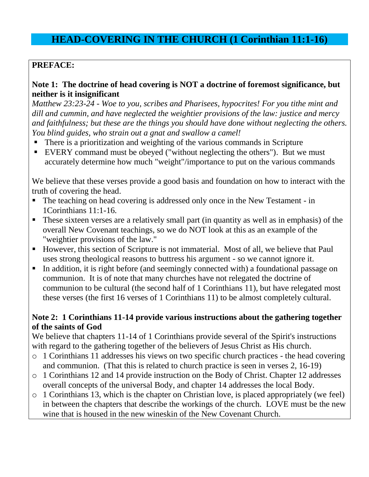## **HEAD-COVERING IN THE CHURCH (1 Corinthian 11:1-16)**

## **PREFACE:**

### **Note 1: The doctrine of head covering is NOT a doctrine of foremost significance, but neither is it insignificant**

*Matthew 23:23-24 - Woe to you, scribes and Pharisees, hypocrites! For you tithe mint and dill and cummin, and have neglected the weightier provisions of the law: justice and mercy and faithfulness; but these are the things you should have done without neglecting the others. You blind guides, who strain out a gnat and swallow a camel!*

- There is a prioritization and weighting of the various commands in Scripture
- EVERY command must be obeyed ("without neglecting the others"). But we must accurately determine how much "weight"/importance to put on the various commands

We believe that these verses provide a good basis and foundation on how to interact with the truth of covering the head.

- The teaching on head covering is addressed only once in the New Testament in 1Corinthians 11:1-16.
- These sixteen verses are a relatively small part (in quantity as well as in emphasis) of the overall New Covenant teachings, so we do NOT look at this as an example of the "weightier provisions of the law."
- However, this section of Scripture is not immaterial. Most of all, we believe that Paul uses strong theological reasons to buttress his argument - so we cannot ignore it.
- In addition, it is right before (and seemingly connected with) a foundational passage on communion. It is of note that many churches have not relegated the doctrine of communion to be cultural (the second half of 1 Corinthians 11), but have relegated most these verses (the first 16 verses of 1 Corinthians 11) to be almost completely cultural.

### **Note 2: 1 Corinthians 11-14 provide various instructions about the gathering together of the saints of God**

We believe that chapters 11-14 of 1 Corinthians provide several of the Spirit's instructions with regard to the gathering together of the believers of Jesus Christ as His church.

- o 1 Corinthians 11 addresses his views on two specific church practices the head covering and communion. (That this is related to church practice is seen in verses 2, 16-19)
- o 1 Corinthians 12 and 14 provide instruction on the Body of Christ. Chapter 12 addresses overall concepts of the universal Body, and chapter 14 addresses the local Body.
- o 1 Corinthians 13, which is the chapter on Christian love, is placed appropriately (we feel) in between the chapters that describe the workings of the church. LOVE must be the new wine that is housed in the new wineskin of the New Covenant Church.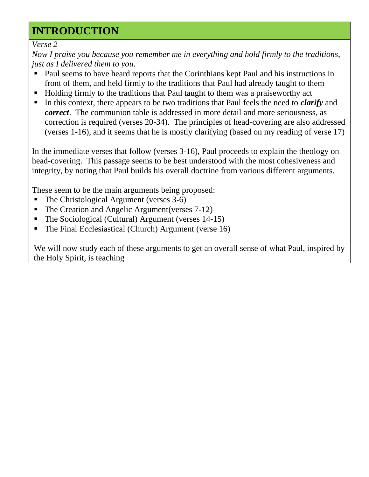# **INTRODUCTION**

*Verse 2*

*Now I praise you because you remember me in everything and hold firmly to the traditions, just as I delivered them to you.*

- Paul seems to have heard reports that the Corinthians kept Paul and his instructions in front of them, and held firmly to the traditions that Paul had already taught to them
- Holding firmly to the traditions that Paul taught to them was a praiseworthy act
- In this context, there appears to be two traditions that Paul feels the need to *clarify* and *correct*. The communion table is addressed in more detail and more seriousness, as correction is required (verses 20-34). The principles of head-covering are also addressed (verses 1-16), and it seems that he is mostly clarifying (based on my reading of verse 17)

In the immediate verses that follow (verses 3-16), Paul proceeds to explain the theology on head-covering. This passage seems to be best understood with the most cohesiveness and integrity, by noting that Paul builds his overall doctrine from various different arguments.

These seem to be the main arguments being proposed:

- The Christological Argument (verses 3-6)
- The Creation and Angelic Argument(verses 7-12)
- The Sociological (Cultural) Argument (verses 14-15)
- The Final Ecclesiastical (Church) Argument (verse 16)

We will now study each of these arguments to get an overall sense of what Paul, inspired by the Holy Spirit, is teaching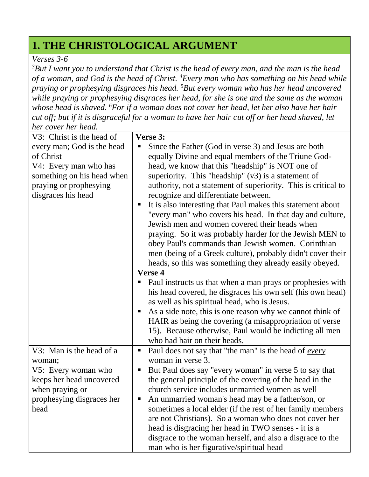# **1. THE CHRISTOLOGICAL ARGUMENT**

### *Verses 3-6*

*<sup>3</sup>But I want you to understand that Christ is the head of every man, and the man is the head of a woman, and God is the head of Christ. <sup>4</sup>Every man who has something on his head while praying or prophesying disgraces his head. <sup>5</sup>But every woman who has her head uncovered while praying or prophesying disgraces her head, for she is one and the same as the woman whose head is shaved. <sup>6</sup>For if a woman does not cover her head, let her also have her hair cut off; but if it is disgraceful for a woman to have her hair cut off or her head shaved, let her cover her head.*

| V3: Christ is the head of  | Verse 3:                                                          |
|----------------------------|-------------------------------------------------------------------|
| every man; God is the head | Since the Father (God in verse 3) and Jesus are both              |
| of Christ                  | equally Divine and equal members of the Triune God-               |
| V4: Every man who has      | head, we know that this "headship" is NOT one of                  |
| something on his head when | superiority. This "headship" $(v3)$ is a statement of             |
| praying or prophesying     | authority, not a statement of superiority. This is critical to    |
| disgraces his head         | recognize and differentiate between.                              |
|                            | It is also interesting that Paul makes this statement about       |
|                            | "every man" who covers his head. In that day and culture,         |
|                            | Jewish men and women covered their heads when                     |
|                            | praying. So it was probably harder for the Jewish MEN to          |
|                            | obey Paul's commands than Jewish women. Corinthian                |
|                            | men (being of a Greek culture), probably didn't cover their       |
|                            | heads, so this was something they already easily obeyed.          |
|                            | <b>Verse 4</b>                                                    |
|                            | Paul instructs us that when a man prays or prophesies with<br>п   |
|                            | his head covered, he disgraces his own self (his own head)        |
|                            | as well as his spiritual head, who is Jesus.                      |
|                            | As a side note, this is one reason why we cannot think of<br>п    |
|                            | HAIR as being the covering (a misappropriation of verse           |
|                            | 15). Because otherwise, Paul would be indicting all men           |
|                            | who had hair on their heads.                                      |
| V3: Man is the head of a   | Paul does not say that "the man" is the head of <u>every</u><br>ш |
| woman;                     | woman in verse 3.                                                 |
| V5: Every woman who        | But Paul does say "every woman" in verse 5 to say that            |
| keeps her head uncovered   | the general principle of the covering of the head in the          |
| when praying or            | church service includes unmarried women as well                   |
| prophesying disgraces her  | An unmarried woman's head may be a father/son, or                 |
| head                       | sometimes a local elder (if the rest of her family members        |
|                            | are not Christians). So a woman who does not cover her            |
|                            | head is disgracing her head in TWO senses - it is a               |
|                            | disgrace to the woman herself, and also a disgrace to the         |
|                            | man who is her figurative/spiritual head                          |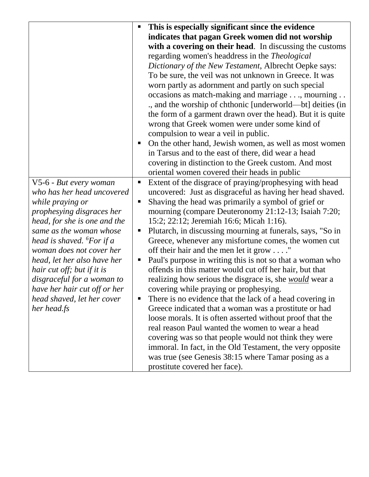|                                       | This is especially significant since the evidence              |
|---------------------------------------|----------------------------------------------------------------|
|                                       | indicates that pagan Greek women did not worship               |
|                                       | with a covering on their head. In discussing the customs       |
|                                       | regarding women's headdress in the <i>Theological</i>          |
|                                       | Dictionary of the New Testament, Albrecht Oepke says:          |
|                                       | To be sure, the veil was not unknown in Greece. It was         |
|                                       | worn partly as adornment and partly on such special            |
|                                       | occasions as match-making and marriage, mourning               |
|                                       | ., and the worship of chthonic [underworld—bt] deities (in     |
|                                       | the form of a garment drawn over the head). But it is quite    |
|                                       | wrong that Greek women were under some kind of                 |
|                                       | compulsion to wear a veil in public.                           |
|                                       | On the other hand, Jewish women, as well as most women         |
|                                       | in Tarsus and to the east of there, did wear a head            |
|                                       | covering in distinction to the Greek custom. And most          |
|                                       | oriental women covered their heads in public                   |
| V5-6 - But every woman                | Extent of the disgrace of praying/prophesying with head        |
| who has her head uncovered            | uncovered: Just as disgraceful as having her head shaved.      |
| while praying or                      | Shaving the head was primarily a symbol of grief or            |
| prophesying disgraces her             | mourning (compare Deuteronomy 21:12-13; Isaiah 7:20;           |
| head, for she is one and the          | 15:2; 22:12; Jeremiah 16:6; Micah 1:16).                       |
| same as the woman whose               | Plutarch, in discussing mourning at funerals, says, "So in     |
| head is shaved. <sup>6</sup> For if a | Greece, whenever any misfortune comes, the women cut           |
| woman does not cover her              | off their hair and the men let it grow"                        |
| head, let her also have her           | Paul's purpose in writing this is not so that a woman who      |
| hair cut off; but if it is            | offends in this matter would cut off her hair, but that        |
| disgraceful for a woman to            | realizing how serious the disgrace is, she <i>would</i> wear a |
| have her hair cut off or her          | covering while praying or prophesying.                         |
| head shaved, let her cover            | There is no evidence that the lack of a head covering in       |
| her head.fs                           | Greece indicated that a woman was a prostitute or had          |
|                                       | loose morals. It is often asserted without proof that the      |
|                                       | real reason Paul wanted the women to wear a head               |
|                                       | covering was so that people would not think they were          |
|                                       | immoral. In fact, in the Old Testament, the very opposite      |
|                                       | was true (see Genesis 38:15 where Tamar posing as a            |
|                                       | prostitute covered her face).                                  |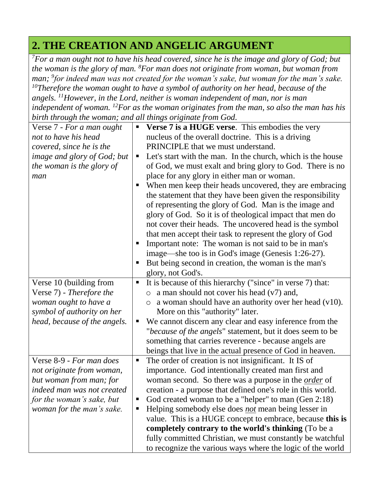# **2. THE CREATION AND ANGELIC ARGUMENT**

*<sup>7</sup>For a man ought not to have his head covered, since he is the image and glory of God; but the woman is the glory of man. <sup>8</sup>For man does not originate from woman, but woman from man; <sup>9</sup> for indeed man was not created for the woman's sake, but woman for the man's sake. <sup>10</sup>Therefore the woman ought to have a symbol of authority on her head, because of the* 

*angels. <sup>11</sup>However, in the Lord, neither is woman independent of man, nor is man independent of woman. <sup>12</sup>For as the woman originates from the man, so also the man has his birth through the woman; and all things originate from God.*

| on in information woman, and an inings original from Soul              |
|------------------------------------------------------------------------|
| <b>Verse 7 is a HUGE verse.</b> This embodies the very<br>П            |
| nucleus of the overall doctrine. This is a driving                     |
| PRINCIPLE that we must understand.                                     |
| Let's start with the man. In the church, which is the house<br>п       |
| of God, we must exalt and bring glory to God. There is no              |
| place for any glory in either man or woman.                            |
| When men keep their heads uncovered, they are embracing<br>п           |
| the statement that they have been given the responsibility             |
| of representing the glory of God. Man is the image and                 |
| glory of God. So it is of theological impact that men do               |
| not cover their heads. The uncovered head is the symbol                |
| that men accept their task to represent the glory of God               |
| Important note: The woman is not said to be in man's<br>п              |
| image—she too is in God's image (Genesis 1:26-27).                     |
| But being second in creation, the woman is the man's<br>п              |
| glory, not God's.                                                      |
| It is because of this hierarchy ("since" in verse 7) that:<br>Ξ        |
| a man should not cover his head $(v7)$ and,<br>$\circ$                 |
| a woman should have an authority over her head $(v10)$ .<br>$\bigcirc$ |
| More on this "authority" later.                                        |
| We cannot discern any clear and easy inference from the<br>Е           |
| "because of the angels" statement, but it does seem to be              |
| something that carries reverence - because angels are                  |
| beings that live in the actual presence of God in heaven.              |
| The order of creation is not insignificant. It IS of<br>п              |
| importance. God intentionally created man first and                    |
| woman second. So there was a purpose in the <i>order</i> of            |
| creation - a purpose that defined one's role in this world.            |
| God created woman to be a "helper" to man (Gen 2:18)<br>п              |
| Helping somebody else does <i>not</i> mean being lesser in<br>п        |
| value. This is a HUGE concept to embrace, because this is              |
| completely contrary to the world's thinking (To be a                   |
| fully committed Christian, we must constantly be watchful              |
| to recognize the various ways where the logic of the world             |
|                                                                        |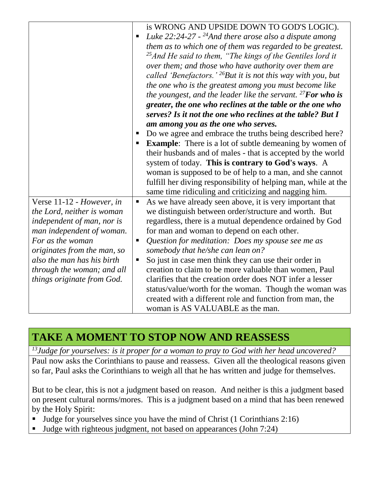|                             | is WRONG AND UPSIDE DOWN TO GOD'S LOGIC).                                  |
|-----------------------------|----------------------------------------------------------------------------|
|                             | Luke $22:24-27$ - <sup>24</sup> And there arose also a dispute among       |
|                             | them as to which one of them was regarded to be greatest.                  |
|                             | <sup>25</sup> And He said to them, "The kings of the Gentiles lord it      |
|                             | over them; and those who have authority over them are                      |
|                             | called 'Benefactors.' $^{26}$ But it is not this way with you, but         |
|                             | the one who is the greatest among you must become like                     |
|                             | the youngest, and the leader like the servant. $^{27}$ <b>For who is</b>   |
|                             | greater, the one who reclines at the table or the one who                  |
|                             | serves? Is it not the one who reclines at the table? But I                 |
|                             | am among you as the one who serves.                                        |
|                             | Do we agree and embrace the truths being described here?                   |
|                             | <b>Example:</b> There is a lot of subtle demeaning by women of             |
|                             | their husbands and of males - that is accepted by the world                |
|                             | system of today. This is contrary to God's ways. A                         |
|                             | woman is supposed to be of help to a man, and she cannot                   |
|                             | fulfill her diving responsibility of helping man, while at the             |
|                             | same time ridiculing and criticizing and nagging him.                      |
| Verse 11-12 - However, in   | As we have already seen above, it is very important that<br>$\blacksquare$ |
| the Lord, neither is woman  | we distinguish between order/structure and worth. But                      |
| independent of man, nor is  | regardless, there is a mutual dependence ordained by God                   |
|                             |                                                                            |
| man independent of woman.   | for man and woman to depend on each other.                                 |
| For as the woman            | Question for meditation: Does my spouse see me as<br>$\blacksquare$        |
| originates from the man, so | somebody that he/she can lean on?                                          |
| also the man has his birth  | So just in case men think they can use their order in                      |
| through the woman; and all  | creation to claim to be more valuable than women, Paul                     |
| things originate from God.  | clarifies that the creation order does NOT infer a lesser                  |
|                             | status/value/worth for the woman. Though the woman was                     |
|                             | created with a different role and function from man, the                   |
|                             | woman is AS VALUABLE as the man.                                           |

# **TAKE A MOMENT TO STOP NOW AND REASSESS**

*<sup>13</sup>Judge for yourselves: is it proper for a woman to pray to God with her head uncovered?* Paul now asks the Corinthians to pause and reassess. Given all the theological reasons given so far, Paul asks the Corinthians to weigh all that he has written and judge for themselves.

But to be clear, this is not a judgment based on reason. And neither is this a judgment based on present cultural norms/mores. This is a judgment based on a mind that has been renewed by the Holy Spirit:

- If Judge for yourselves since you have the mind of Christ (1 Corinthians 2:16)
- Uldge with righteous judgment, not based on appearances (John 7:24)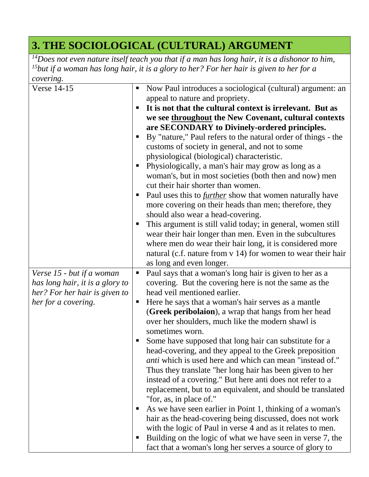# **3. THE SOCIOLOGICAL (CULTURAL) ARGUMENT**

*<sup>14</sup>Does not even nature itself teach you that if a man has long hair, it is a dishonor to him, <sup>15</sup>but if a woman has long hair, it is a glory to her? For her hair is given to her for a covering.* 

| $\omega$ vcruig.<br>Verse 14-15<br>Verse 15 - but if a woman<br>has long hair, it is a glory to<br>her? For her hair is given to<br>her for a covering. | Now Paul introduces a sociological (cultural) argument: an<br>$\blacksquare$<br>appeal to nature and propriety.<br>It is not that the cultural context is irrelevant. But as<br>п<br>we see throughout the New Covenant, cultural contexts<br>are SECONDARY to Divinely-ordered principles.<br>By "nature," Paul refers to the natural order of things - the<br>п<br>customs of society in general, and not to some<br>physiological (biological) characteristic.<br>Physiologically, a man's hair may grow as long as a<br>п<br>woman's, but in most societies (both then and now) men<br>cut their hair shorter than women.<br>Paul uses this to <i>further</i> show that women naturally have<br>п<br>more covering on their heads than men; therefore, they<br>should also wear a head-covering.<br>This argument is still valid today; in general, women still<br>п<br>wear their hair longer than men. Even in the subcultures<br>where men do wear their hair long, it is considered more<br>natural (c.f. nature from v 14) for women to wear their hair<br>as long and even longer.<br>Paul says that a woman's long hair is given to her as a<br>п<br>covering. But the covering here is not the same as the<br>head veil mentioned earlier.<br>Here he says that a woman's hair serves as a mantle<br>п<br>(Greek peribolaion), a wrap that hangs from her head<br>over her shoulders, much like the modern shawl is<br>sometimes worn.<br>Some have supposed that long hair can substitute for a<br>head-covering, and they appeal to the Greek preposition<br><i>anti</i> which is used here and which can mean "instead of."<br>Thus they translate "her long hair has been given to her<br>instead of a covering." But here anti does not refer to a<br>replacement, but to an equivalent, and should be translated<br>"for, as, in place of."<br>As we have seen earlier in Point 1, thinking of a woman's<br>п<br>hair as the head-covering being discussed, does not work |
|---------------------------------------------------------------------------------------------------------------------------------------------------------|---------------------------------------------------------------------------------------------------------------------------------------------------------------------------------------------------------------------------------------------------------------------------------------------------------------------------------------------------------------------------------------------------------------------------------------------------------------------------------------------------------------------------------------------------------------------------------------------------------------------------------------------------------------------------------------------------------------------------------------------------------------------------------------------------------------------------------------------------------------------------------------------------------------------------------------------------------------------------------------------------------------------------------------------------------------------------------------------------------------------------------------------------------------------------------------------------------------------------------------------------------------------------------------------------------------------------------------------------------------------------------------------------------------------------------------------------------------------------------------------------------------------------------------------------------------------------------------------------------------------------------------------------------------------------------------------------------------------------------------------------------------------------------------------------------------------------------------------------------------------------------------------------------------------------------------------------------------------------------------------|
|                                                                                                                                                         |                                                                                                                                                                                                                                                                                                                                                                                                                                                                                                                                                                                                                                                                                                                                                                                                                                                                                                                                                                                                                                                                                                                                                                                                                                                                                                                                                                                                                                                                                                                                                                                                                                                                                                                                                                                                                                                                                                                                                                                             |
|                                                                                                                                                         |                                                                                                                                                                                                                                                                                                                                                                                                                                                                                                                                                                                                                                                                                                                                                                                                                                                                                                                                                                                                                                                                                                                                                                                                                                                                                                                                                                                                                                                                                                                                                                                                                                                                                                                                                                                                                                                                                                                                                                                             |
|                                                                                                                                                         |                                                                                                                                                                                                                                                                                                                                                                                                                                                                                                                                                                                                                                                                                                                                                                                                                                                                                                                                                                                                                                                                                                                                                                                                                                                                                                                                                                                                                                                                                                                                                                                                                                                                                                                                                                                                                                                                                                                                                                                             |
|                                                                                                                                                         | with the logic of Paul in verse 4 and as it relates to men.                                                                                                                                                                                                                                                                                                                                                                                                                                                                                                                                                                                                                                                                                                                                                                                                                                                                                                                                                                                                                                                                                                                                                                                                                                                                                                                                                                                                                                                                                                                                                                                                                                                                                                                                                                                                                                                                                                                                 |
|                                                                                                                                                         | Building on the logic of what we have seen in verse 7, the<br>п                                                                                                                                                                                                                                                                                                                                                                                                                                                                                                                                                                                                                                                                                                                                                                                                                                                                                                                                                                                                                                                                                                                                                                                                                                                                                                                                                                                                                                                                                                                                                                                                                                                                                                                                                                                                                                                                                                                             |
|                                                                                                                                                         |                                                                                                                                                                                                                                                                                                                                                                                                                                                                                                                                                                                                                                                                                                                                                                                                                                                                                                                                                                                                                                                                                                                                                                                                                                                                                                                                                                                                                                                                                                                                                                                                                                                                                                                                                                                                                                                                                                                                                                                             |
|                                                                                                                                                         | fact that a woman's long her serves a source of glory to                                                                                                                                                                                                                                                                                                                                                                                                                                                                                                                                                                                                                                                                                                                                                                                                                                                                                                                                                                                                                                                                                                                                                                                                                                                                                                                                                                                                                                                                                                                                                                                                                                                                                                                                                                                                                                                                                                                                    |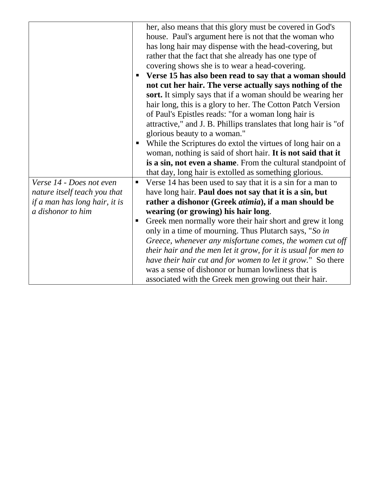|                               | her, also means that this glory must be covered in God's         |
|-------------------------------|------------------------------------------------------------------|
|                               | house. Paul's argument here is not that the woman who            |
|                               | has long hair may dispense with the head-covering, but           |
|                               | rather that the fact that she already has one type of            |
|                               | covering shows she is to wear a head-covering.                   |
|                               | Verse 15 has also been read to say that a woman should<br>п      |
|                               | not cut her hair. The verse actually says nothing of the         |
|                               | sort. It simply says that if a woman should be wearing her       |
|                               | hair long, this is a glory to her. The Cotton Patch Version      |
|                               | of Paul's Epistles reads: "for a woman long hair is              |
|                               | attractive," and J. B. Phillips translates that long hair is "of |
|                               | glorious beauty to a woman."                                     |
|                               | While the Scriptures do extol the virtues of long hair on a      |
|                               | woman, nothing is said of short hair. It is not said that it     |
|                               | is a sin, not even a shame. From the cultural standpoint of      |
|                               | that day, long hair is extolled as something glorious.           |
| Verse 14 - Does not even      | Verse 14 has been used to say that it is a sin for a man to<br>п |
| nature itself teach you that  | have long hair. Paul does not say that it is a sin, but          |
| if a man has long hair, it is | rather a dishonor (Greek <i>atimia</i> ), if a man should be     |
| a dishonor to him             | wearing (or growing) his hair long.                              |
|                               | Greek men normally wore their hair short and grew it long<br>п   |
|                               | only in a time of mourning. Thus Plutarch says, "So in           |
|                               | Greece, whenever any misfortune comes, the women cut off         |
|                               | their hair and the men let it grow, for it is usual for men to   |
|                               | have their hair cut and for women to let it grow." So there      |
|                               | was a sense of dishonor or human lowliness that is               |
|                               | associated with the Greek men growing out their hair.            |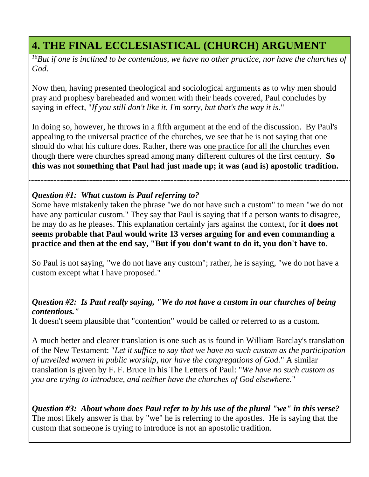# **4. THE FINAL ECCLESIASTICAL (CHURCH) ARGUMENT**

*<sup>16</sup>But if one is inclined to be contentious, we have no other practice, nor have the churches of God.*

Now then, having presented theological and sociological arguments as to why men should pray and prophesy bareheaded and women with their heads covered, Paul concludes by saying in effect, "*If you still don't like it, I'm sorry, but that's the way it is.*"

In doing so, however, he throws in a fifth argument at the end of the discussion. By Paul's appealing to the universal practice of the churches, we see that he is not saying that one should do what his culture does. Rather, there was one practice for all the churches even though there were churches spread among many different cultures of the first century. **So this was not something that Paul had just made up; it was (and is) apostolic tradition.**

### *Question #1: What custom is Paul referring to?*

Some have mistakenly taken the phrase "we do not have such a custom" to mean "we do not have any particular custom." They say that Paul is saying that if a person wants to disagree, he may do as he pleases. This explanation certainly jars against the context, for **it does not seems probable that Paul would write 13 verses arguing for and even commanding a practice and then at the end say, "But if you don't want to do it, you don't have to**.

So Paul is not saying, "we do not have any custom"; rather, he is saying, "we do not have a custom except what I have proposed."

### *Question #2: Is Paul really saying, "We do not have a custom in our churches of being contentious."*

It doesn't seem plausible that "contention" would be called or referred to as a custom.

A much better and clearer translation is one such as is found in William Barclay's translation of the New Testament: "*Let it suffice to say that we have no such custom as the participation of unveiled women in public worship, nor have the congregations of God.*" A similar translation is given by F. F. Bruce in his The Letters of Paul: "*We have no such custom as you are trying to introduce, and neither have the churches of God elsewhere.*"

*Question #3: About whom does Paul refer to by his use of the plural "we" in this verse?* The most likely answer is that by "we" he is referring to the apostles. He is saying that the custom that someone is trying to introduce is not an apostolic tradition.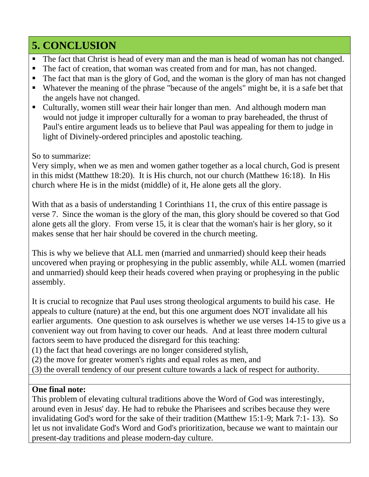# **5. CONCLUSION**

- The fact that Christ is head of every man and the man is head of woman has not changed.
- The fact of creation, that woman was created from and for man, has not changed.
- The fact that man is the glory of God, and the woman is the glory of man has not changed
- Whatever the meaning of the phrase "because of the angels" might be, it is a safe bet that the angels have not changed.
- Culturally, women still wear their hair longer than men. And although modern man would not judge it improper culturally for a woman to pray bareheaded, the thrust of Paul's entire argument leads us to believe that Paul was appealing for them to judge in light of Divinely-ordered principles and apostolic teaching.

## So to summarize:

Very simply, when we as men and women gather together as a local church, God is present in this midst (Matthew 18:20). It is His church, not our church (Matthew 16:18). In His church where He is in the midst (middle) of it, He alone gets all the glory.

With that as a basis of understanding 1 Corinthians 11, the crux of this entire passage is verse 7. Since the woman is the glory of the man, this glory should be covered so that God alone gets all the glory. From verse 15, it is clear that the woman's hair is her glory, so it makes sense that her hair should be covered in the church meeting.

This is why we believe that ALL men (married and unmarried) should keep their heads uncovered when praying or prophesying in the public assembly, while ALL women (married and unmarried) should keep their heads covered when praying or prophesying in the public assembly.

It is crucial to recognize that Paul uses strong theological arguments to build his case. He appeals to culture (nature) at the end, but this one argument does NOT invalidate all his earlier arguments. One question to ask ourselves is whether we use verses 14-15 to give us a convenient way out from having to cover our heads. And at least three modern cultural factors seem to have produced the disregard for this teaching:

(1) the fact that head coverings are no longer considered stylish,

- (2) the move for greater women's rights and equal roles as men, and
- (3) the overall tendency of our present culture towards a lack of respect for authority.

## **One final note:**

This problem of elevating cultural traditions above the Word of God was interestingly, around even in Jesus' day. He had to rebuke the Pharisees and scribes because they were invalidating God's word for the sake of their tradition (Matthew 15:1-9; Mark 7:1- 13). So let us not invalidate God's Word and God's prioritization, because we want to maintain our present-day traditions and please modern-day culture.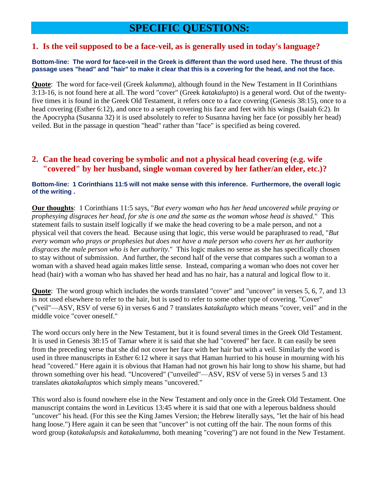## **SPECIFIC QUESTIONS:**

#### **1. Is the veil supposed to be a face-veil, as is generally used in today's language?**

#### **Bottom-line: The word for face-veil in the Greek is different than the word used here. The thrust of this passage uses "head" and "hair" to make it clear that this is a covering for the head, and not the face.**

**Quote**: The word for face-veil (Greek *kalumma*), although found in the New Testament in II Corinthians 3:13-16, is not found here at all. The word "cover" (Greek *katakalupto*) is a general word. Out of the twentyfive times it is found in the Greek Old Testament, it refers once to a face covering (Genesis 38:15), once to a head covering (Esther 6:12), and once to a seraph covering his face and feet with his wings (Isaiah 6:2). In the Apocrypha (Susanna 32) it is used absolutely to refer to Susanna having her face (or possibly her head) veiled. But in the passage in question "head" rather than "face" is specified as being covered.

### **2. Can the head covering be symbolic and not a physical head covering (e.g. wife "covered" by her husband, single woman covered by her father/an elder, etc.)?**

#### **Bottom-line: 1 Corinthians 11:5 will not make sense with this inference. Furthermore, the overall logic of the writing .**

**Our thoughts**: 1 Corinthians 11:5 says, "*But every woman who has her head uncovered while praying or prophesying disgraces her head, for she is one and the same as the woman whose head is shaved.*" This statement fails to sustain itself logically if we make the head covering to be a male person, and not a physical veil that covers the head. Because using that logic, this verse would be paraphrased to read, "*But every woman who prays or prophesies but does not have a male person who covers her as her authority disgraces the male person who is her authority.*" This logic makes no sense as she has specifically chosen to stay without of submission. And further, the second half of the verse that compares such a woman to a woman with a shaved head again makes little sense. Instead, comparing a woman who does not cover her head (hair) with a woman who has shaved her head and has no hair, has a natural and logical flow to it.

**Quote**: The word group which includes the words translated "cover" and "uncover" in verses 5, 6, 7, and 13 is not used elsewhere to refer to the hair, but is used to refer to some other type of covering. "Cover" ("veil"—ASV, RSV of verse 6) in verses 6 and 7 translates *katakalupto* which means "cover, veil" and in the middle voice "cover oneself."

The word occurs only here in the New Testament, but it is found several times in the Greek Old Testament. It is used in Genesis 38:15 of Tamar where it is said that she had "covered" her face. It can easily be seen from the preceding verse that she did not cover her face with her hair but with a veil. Similarly the word is used in three manuscripts in Esther 6:12 where it says that Haman hurried to his house in mourning with his head "covered." Here again it is obvious that Haman had not grown his hair long to show his shame, but had thrown something over his head. "Uncovered" ("unveiled"—ASV, RSV of verse 5) in verses 5 and 13 translates *akatakaluptos* which simply means "uncovered."

This word also is found nowhere else in the New Testament and only once in the Greek Old Testament. One manuscript contains the word in Leviticus 13:45 where it is said that one with a leperous baldness should "uncover" his head. (For this see the King James Version; the Hebrew literally says, "let the hair of his head hang loose.") Here again it can be seen that "uncover" is not cutting off the hair. The noun forms of this word group (*katakalupsis* and *katakalumma*, both meaning "covering") are not found in the New Testament.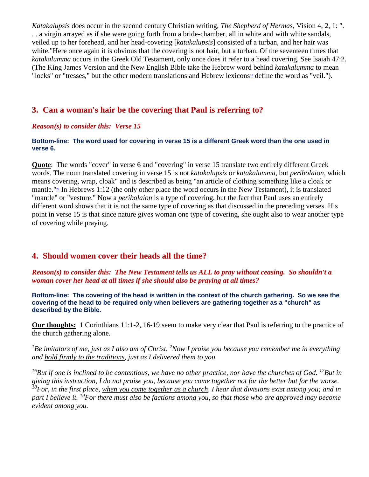*Katakalupsis* does occur in the second century Christian writing, *The Shepherd of Hermas*, Vision 4, 2, 1: ". . . a virgin arrayed as if she were going forth from a bride-chamber, all in white and with white sandals, veiled up to her forehead, and her head-covering [*katakalupsis*] consisted of a turban, and her hair was white."Here once again it is obvious that the covering is not hair, but a turban. Of the seventeen times that *katakalumma* occurs in the Greek Old Testament, only once does it refer to a head covering. See Isaiah 47:2. (The King James Version and the New English Bible take the Hebrew word behind *katakalumma* to mean "locks" or "tresses," but the other modern translations and Hebrew lexicons<sup>[28](http://www.ovc.edu/terry/articles/headcovr.htm#f28)</sup> define the word as "veil.").

### **3. Can a woman's hair be the covering that Paul is referring to?**

#### *Reason(s) to consider this: Verse 15*

#### **Bottom-line: The word used for covering in verse 15 is a different Greek word than the one used in verse 6.**

**Quote**: The words "cover" in verse 6 and "covering" in verse 15 translate two entirely different Greek words. The noun translated covering in verse 15 is not *katakalupsis* or *katakalumma*, but *peribolaion*, which means covering, wrap, cloak" and is described as being "an article of clothing something like a cloak or mantle.["](http://www.ovc.edu/terry/articles/headcovr.htm#f29)<sup>29</sup> In Hebrews 1:12 (the only other place the word occurs in the New Testament), it is translated "mantle" or "vesture." Now a *peribolaion* is a type of covering, but the fact that Paul uses an entirely different word shows that it is not the same type of covering as that discussed in the preceding verses. His point in verse 15 is that since nature gives woman one type of covering, she ought also to wear another type of covering while praying.

### **4. Should women cover their heads all the time?**

*Reason(s) to consider this: The New Testament tells us ALL to pray without ceasing. So shouldn't a woman cover her head at all times if she should also be praying at all times?*

**Bottom-line: The covering of the head is written in the context of the church gathering. So we see the covering of the head to be required only when believers are gathering together as a "church" as described by the Bible.**

**Our thoughts:** 1 Corinthians 11:1-2, 16-19 seem to make very clear that Paul is referring to the practice of the church gathering alone.

*<sup>1</sup>Be imitators of me, just as I also am of Christ. <sup>2</sup>Now I praise you because you remember me in everything and hold firmly to the traditions, just as I delivered them to you*

*<sup>16</sup>But if one is inclined to be contentious, we have no other practice, nor have the churches of God. <sup>17</sup>But in giving this instruction, I do not praise you, because you come together not for the better but for the worse. <sup>18</sup>For, in the first place, when you come together as a church, I hear that divisions exist among you; and in part I believe it. <sup>19</sup>For there must also be factions among you, so that those who are approved may become evident among you.*